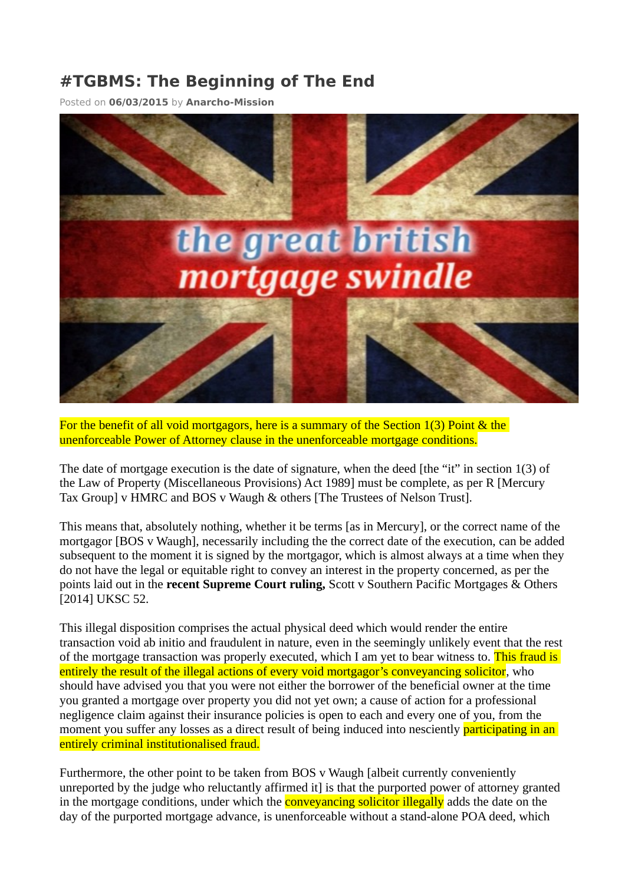## **#TGBMS: The Beginning of The End**

Posted on **[06/03/2015](https://self-realisation.com/equity/banksterbusters/tgbms-the-beginning-of-the-end/)** by **[Anarcho-Mission](https://self-realisation.com/author/mob/)**



For the benefit of all void mortgagors, here is a summary of the Section 1(3) Point & the unenforceable Power of Attorney clause in the unenforceable mortgage conditions.

The date of mortgage execution is the date of signature, when the deed [the "it" in section 1(3) of the Law of Property (Miscellaneous Provisions) Act 1989] must be complete, as per R [Mercury Tax Group] v HMRC and BOS v Waugh & others [The Trustees of Nelson Trust].

This means that, absolutely nothing, whether it be terms [as in Mercury], or the correct name of the mortgagor [BOS v Waugh], necessarily including the the correct date of the execution, can be added subsequent to the moment it is signed by the mortgagor, which is almost always at a time when they do not have the legal or equitable right to convey an interest in the property concerned, as per the points laid out in the **recent Supreme Court ruling,** Scott v Southern Pacific Mortgages & Others [2014] UKSC 52.

This illegal disposition comprises the actual physical deed which would render the entire transaction void ab initio and fraudulent in nature, even in the seemingly unlikely event that the rest of the mortgage transaction was properly executed, which I am yet to bear witness to. This fraud is entirely the result of the illegal actions of every void mortgagor's conveyancing solicitor, who should have advised you that you were not either the borrower of the beneficial owner at the time you granted a mortgage over property you did not yet own; a cause of action for a professional negligence claim against their insurance policies is open to each and every one of you, from the moment you suffer any losses as a direct result of being induced into nesciently **participating in an** entirely criminal institutionalised fraud.

Furthermore, the other point to be taken from BOS v Waugh [albeit currently conveniently unreported by the judge who reluctantly affirmed it] is that the purported power of attorney granted in the mortgage conditions, under which the **conveyancing solicitor illegally** adds the date on the day of the purported mortgage advance, is unenforceable without a stand-alone POA deed, which